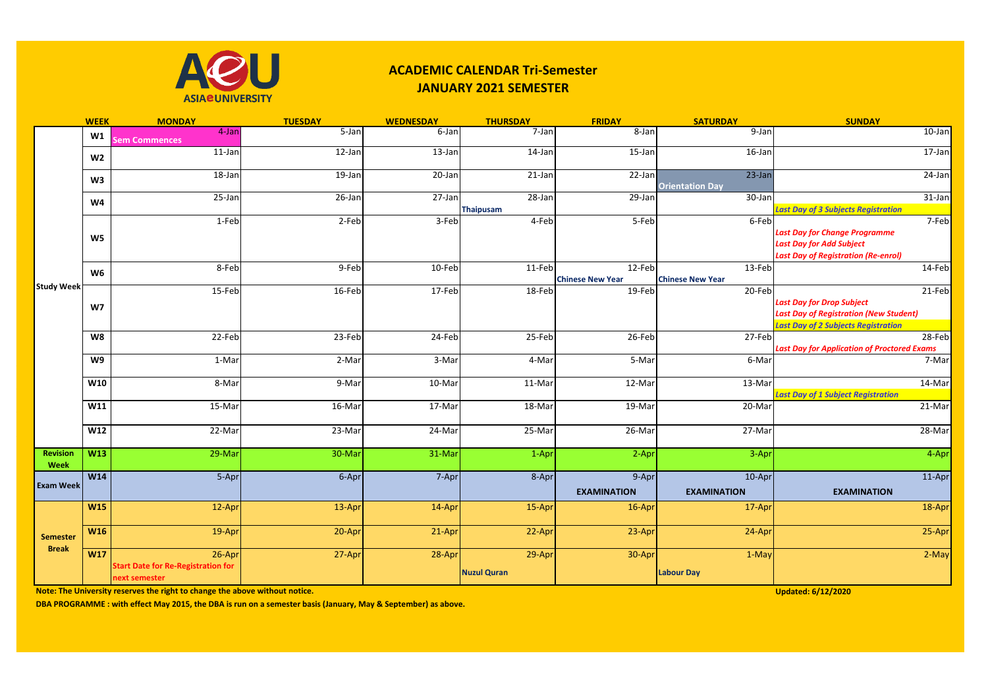

## **ACADEMIC CALENDAR Tri-Semester JANUARY 2021 SEMESTER**

|                                 | <b>WEEK</b>    | <b>MONDAY</b>                                              | <b>TUESDAY</b> | <b>WEDNESDAY</b> | <b>THURSDAY</b>                | <b>FRIDAY</b>           | <b>SATURDAY</b>                     | <b>SUNDAY</b>                                                                                                                             |
|---------------------------------|----------------|------------------------------------------------------------|----------------|------------------|--------------------------------|-------------------------|-------------------------------------|-------------------------------------------------------------------------------------------------------------------------------------------|
| <b>Study Week</b>               | W1             | 4-Jan<br><b>Sem Commences</b>                              | $5 - Jan$      | 6-Jan            | $7-Jan$                        | 8-Jan                   | $9$ -Jan                            | $10$ -Jan                                                                                                                                 |
|                                 | W <sub>2</sub> | $11$ -Jan                                                  | $12$ -Jan      | $13$ -Jan        | $14$ -Jan                      | $15$ -Jan               | $16$ -Jan                           | $17$ -Jan                                                                                                                                 |
|                                 | W3             | $18$ -Jan                                                  | $19$ -Jan      | $20$ -Jan        | $21$ -Jan                      | $22$ -Jan               | $23$ -Jan<br><b>Orientation Day</b> | 24-Jan                                                                                                                                    |
|                                 | W <sub>4</sub> | $25 - Jan$                                                 | 26-Jan         | 27-Jan           | $28 - Jan$<br><b>Thaipusam</b> | 29-Jan                  | 30-Jan                              | 31-Jan<br><b>Last Day of 3 Subjects Registration</b>                                                                                      |
|                                 |                | 1-Feb                                                      | 2-Feb          | $3-Feb$          | 4-Feb                          | 5-Feb                   | 6-Feb                               | 7-Feb                                                                                                                                     |
|                                 | W5             |                                                            |                |                  |                                |                         |                                     | <b>Last Day for Change Programme</b><br><b>Last Day for Add Subject</b><br><b>Last Day of Registration (Re-enrol)</b>                     |
|                                 | W <sub>6</sub> | 8-Feb                                                      | 9-Feb          | 10-Feb           | 11-Feb                         | 12-Feb                  | 13-Feb                              | 14-Feb                                                                                                                                    |
|                                 |                |                                                            |                |                  |                                | <b>Chinese New Year</b> | <b>Chinese New Year</b>             |                                                                                                                                           |
|                                 | W <sub>7</sub> | 15-Feb                                                     | 16-Feb         | 17-Feb           | 18-Feb                         | 19-Feb                  | 20-Feb                              | 21-Feb<br><b>Last Day for Drop Subject</b><br><b>Last Day of Registration (New Student)</b><br><b>Last Day of 2 Subjects Registration</b> |
|                                 | <b>W8</b>      | 22-Feb                                                     | 23-Feb         | 24-Feb           | 25-Feb                         | 26-Feb                  | 27-Feb                              | 28-Feb<br><b>Last Day for Application of Proctored Exams</b>                                                                              |
|                                 | W9             | 1-Mar                                                      | 2-Mar          | 3-Mar            | 4-Mar                          | 5-Mar                   | 6-Mar                               | 7-Mar                                                                                                                                     |
|                                 | W10            | 8-Mar                                                      | 9-Mar          | 10-Mar           | 11-Mar                         | 12-Mar                  | 13-Mar                              | 14-Mar<br><b>Last Day of 1 Subject Registration</b>                                                                                       |
|                                 | W11            | 15-Mar                                                     | 16-Mar         | 17-Mar           | 18-Mar                         | 19-Mar                  | 20-Mar                              | 21-Mar                                                                                                                                    |
|                                 | W12            | 22-Mar                                                     | 23-Mar         | 24-Mar           | 25-Mar                         | 26-Mar                  | 27-Mar                              | 28-Mar                                                                                                                                    |
| <b>Revision</b><br>Week         | W13            | $29$ -Mar                                                  | 30-Mar         | 31-Mar           | 1-Apr                          | 2-Apr                   | 3-Apr                               | 4-Apr                                                                                                                                     |
|                                 | W14            | 5-Apr                                                      | 6-Apr          | 7-Apr            | 8-Apr                          | 9-Apr                   | 10-Apr                              | 11-Apr                                                                                                                                    |
| <b>Exam Week</b>                |                |                                                            |                |                  |                                | <b>EXAMINATION</b>      | <b>EXAMINATION</b>                  | <b>EXAMINATION</b>                                                                                                                        |
| <b>Semester</b><br><b>Break</b> | <b>W15</b>     | 12-Apr                                                     | $13-Apr$       | 14-Apr           | 15-Apr                         | 16-Apr                  | 17-Apr                              | 18-Apr                                                                                                                                    |
|                                 | <b>W16</b>     | 19-Apr                                                     | 20-Apr         | 21-Apr           | 22-Apr                         | 23-Apr                  | 24-Apr                              | 25-Apr                                                                                                                                    |
|                                 | <b>W17</b>     | $26$ -Apr                                                  | 27-Apr         | 28-Apr           | 29-Apr                         | 30-Apr                  | 1-May                               | $2-May$                                                                                                                                   |
|                                 |                | <b>Start Date for Re-Registration for</b><br>next semester |                |                  | <b>Nuzul Quran</b>             |                         | <b>Labour Day</b>                   |                                                                                                                                           |

**Note: The University reserves the right to change the above without notice.** 

**Updated: 6/12/2020**

**DBA PROGRAMME : with effect May 2015, the DBA is run on a semester basis (January, May & September) as above.**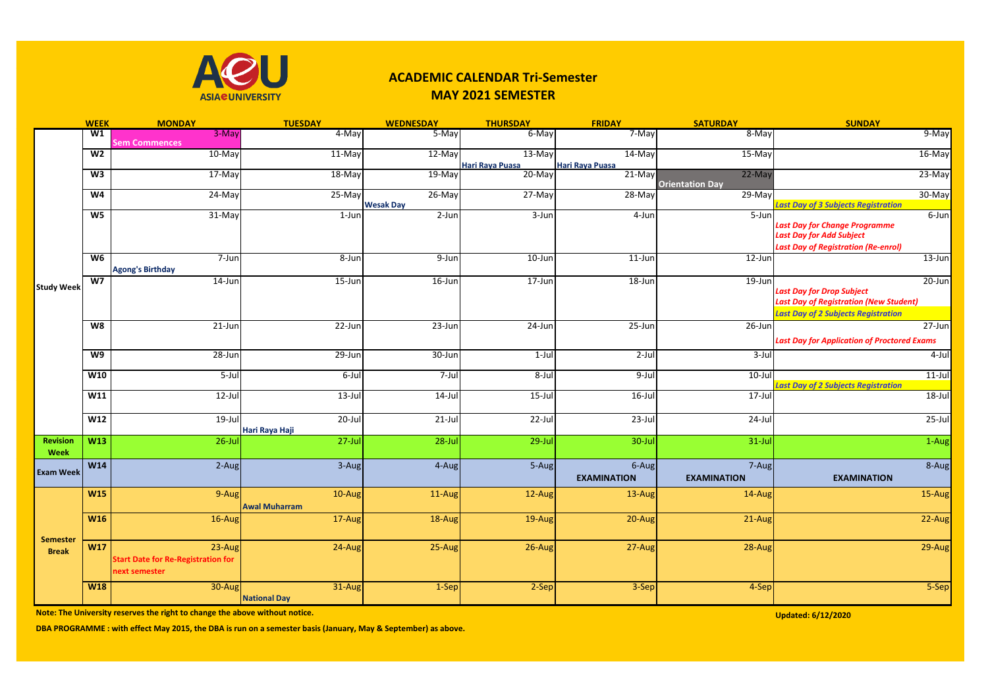

## **ACADEMIC CALENDAR Tri-Semester MAY 2021 SEMESTER**

|                                 | <b>WEEK</b>    | <b>MONDAY</b>                                                        | <b>TUESDAY</b>                   | <b>WEDNESDAY</b>              | <b>THURSDAY</b>                    | <b>FRIDAY</b>                | <b>SATURDAY</b>                    | <b>SUNDAY</b>                                                                                                                                |
|---------------------------------|----------------|----------------------------------------------------------------------|----------------------------------|-------------------------------|------------------------------------|------------------------------|------------------------------------|----------------------------------------------------------------------------------------------------------------------------------------------|
|                                 | W1             | 3-May<br><b>Sem Commences</b>                                        | 4-May                            | 5-May                         | 6-May                              | 7-May                        | 8-May                              | 9-May                                                                                                                                        |
|                                 | W <sub>2</sub> | $10$ -May                                                            | $11-May$                         | 12-May                        | $13-May$<br><b>Hari Raya Puasa</b> | $14$ -May<br>Hari Raya Puasa | $15$ -May                          | 16-May                                                                                                                                       |
|                                 | W <sub>3</sub> | $17-May$                                                             | $18-May$                         | $19-May$                      | $20 - May$                         | 21-May                       | $22-May$<br><b>Orientation Day</b> | 23-May                                                                                                                                       |
|                                 | W <sub>4</sub> | 24-May                                                               | $25-May$                         | $26$ -May<br><b>Wesak Day</b> | 27-May                             | $28 - May$                   | $29-May$                           | 30-May<br><b>Last Day of 3 Subjects Registration</b>                                                                                         |
| <b>Study Week</b>               | W <sub>5</sub> | 31-May                                                               | 1-Jun                            | $2$ -Jun                      | $3 - Jun$                          | 4-Jun                        | 5-Jun                              | 6-Jun<br><b>Last Day for Change Programme</b><br><b>Last Day for Add Subject</b><br><b>Last Day of Registration (Re-enrol)</b>               |
|                                 | $W_6$          | 7-Jun<br><b>Agong's Birthday</b>                                     | 8-Jun                            | $9 - Jun$                     | $10$ -Jun                          | $11$ -Jun                    | 12-Jun                             | $13$ -Jun                                                                                                                                    |
|                                 | W <sub>7</sub> | $14$ -Jun                                                            | $15 - Jun$                       | $16$ -Jun                     | $17 - Jun$                         | $18 - Jun$                   | $19 - Jun$                         | $20$ -Jun<br><b>Last Day for Drop Subject</b><br><b>Last Day of Registration (New Student)</b><br><b>Last Day of 2 Subjects Registration</b> |
|                                 | W8             | $21$ -Jun                                                            | $22$ -Jun                        | $23 - Jun$                    | $24$ -Jun                          | $25 - Jun$                   | $26$ -Jun                          | $27 - Jun$<br><b>Last Day for Application of Proctored Exams</b>                                                                             |
|                                 | $\overline{W}$ | $28 - Jun$                                                           | $29$ -Jun                        | $30 - Jun$                    | $1-Jul$                            | 2-Jul                        | $3 -$ Jul                          | $4$ -Jul                                                                                                                                     |
|                                 | W10            | $5 -$ Jul                                                            | $6$ -Jul                         | $7 -$ Jul                     | $8 -$ Jul                          | $9 -$ Jul                    | $10$ -Jul                          | $11$ -Jul<br><b>Last Day of 2 Subjects Registration</b>                                                                                      |
|                                 | W11            | $12$ -Jul                                                            | $13$ -Jul                        | $14$ -Jul                     | $15 -$ Jul                         | $16$ -Jul                    | $17 -$ Jul                         | $18 -$ Jul                                                                                                                                   |
|                                 | W12            | 19-Jul                                                               | $20$ -Jul<br>Hari Raya Haji      | $21$ -Jul                     | 22-Jul                             | $23$ -Jul                    | 24-Jul                             | 25-Jul                                                                                                                                       |
| <b>Revision</b><br>Week         | W13            | $26$ -Jul                                                            | $27$ -Jul                        | $28$ -Jul                     | $29$ -Jul                          | 30-Jul                       | $31$ -Jul                          | 1-Aug                                                                                                                                        |
| <b>Exam Week</b>                | <b>W14</b>     | 2-Aug                                                                | 3-Aug                            | 4-Aug                         | 5-Aug                              | 6-Aug<br><b>EXAMINATION</b>  | 7-Aug<br><b>EXAMINATION</b>        | 8-Aug<br><b>EXAMINATION</b>                                                                                                                  |
|                                 | <b>W15</b>     | 9-Aug                                                                | $10-Aug$<br><b>Awal Muharram</b> | $11$ -Aug                     | 12-Aug                             | 13-Aug                       | 14-Aug                             | 15-Aug                                                                                                                                       |
|                                 | <b>W16</b>     | 16-Aug                                                               | 17-Aug                           | 18-Aug                        | 19-Aug                             | 20-Aug                       | 21-Aug                             | 22-Aug                                                                                                                                       |
| <b>Semester</b><br><b>Break</b> | W17            | 23-Aug<br><b>Start Date for Re-Registration for</b><br>next semester | 24-Aug                           | 25-Aug                        | 26-Aug                             | 27-Aug                       | 28-Aug                             | 29-Aug                                                                                                                                       |
|                                 | <b>W18</b>     | 30-Aug                                                               | 31-Aug<br><b>National Day</b>    | 1-Sep                         | 2-Sep                              | 3-Sep                        | 4-Sep                              | 5-Sep                                                                                                                                        |

**Note: The University reserves the right to change the above without notice.** Updated: 6/12/2020 **Updated: 6/12/2020** 

**DBA PROGRAMME : with effect May 2015, the DBA is run on a semester basis (January, May & September) as above.**